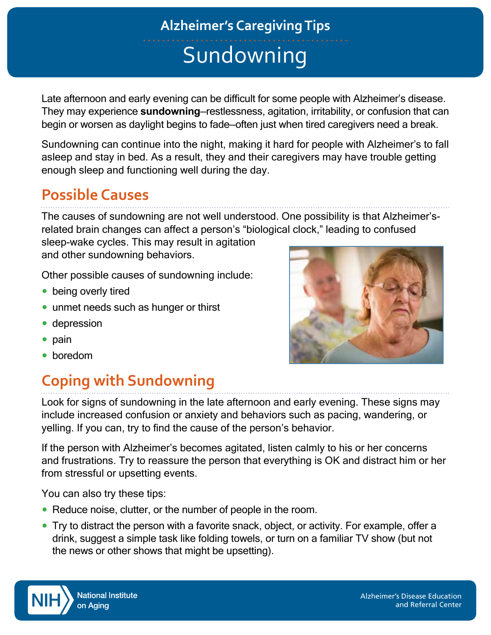# **Sundowning Alzheimer's Caregiving Tips**

Late afternoon and early evening can be difficult for some people with Alzheimer's disease. They may experience **sundowning**—restlessness, agitation, irritability, or confusion that can begin or worsen as daylight begins to fade—often just when tired caregivers need a break.

Sundowning can continue into the night, making it hard for people with Alzheimer's to fall asleep and stay in bed. As a result, they and their caregivers may have trouble getting enough sleep and functioning well during the day.

### **Possible Causes**

The causes of sundowning are not well understood. One possibility is that Alzheimer'srelated brain changes can affect a person's "biological clock," leading to confused

sleep-wake cycles. This may result in agitation and other sundowning behaviors.

Other possible causes of sundowning include:

- being overly tired
- unmet needs such as hunger or thirst
- depression
- pain
- boredom

## **Coping with Sundowning**

Look for signs of sundowning in the late afternoon and early evening. These signs may include increased confusion or anxiety and behaviors such as pacing, wandering, or yelling. If you can, try to find the cause of the person's behavior.

If the person with Alzheimer's becomes agitated, listen calmly to his or her concerns and frustrations. Try to reassure the person that everything is OK and distract him or her from stressful or upsetting events.

You can also try these tips:

- Reduce noise, clutter, or the number of people in the room.
- Try to distract the person with a favorite snack, object, or activity. For example, offer a drink, suggest a simple task like folding towels, or turn on a familiar TV show (but not the news or other shows that might be upsetting).